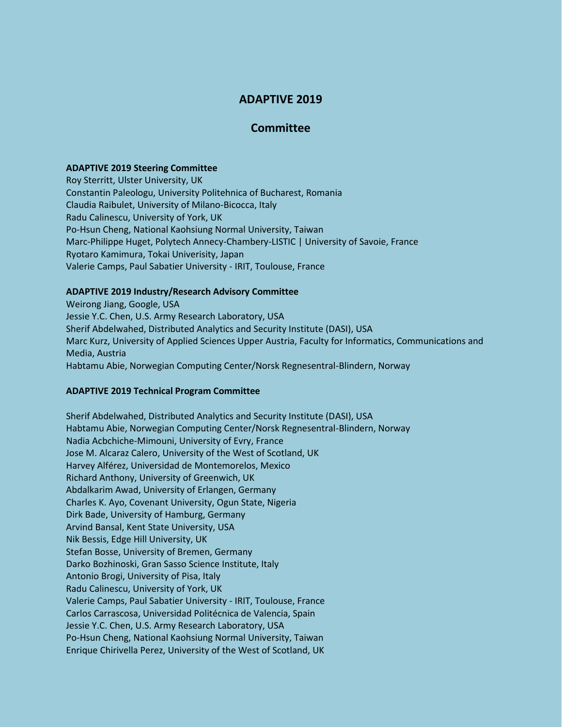# **ADAPTIVE 2019**

## **Committee**

#### **ADAPTIVE 2019 Steering Committee**

Roy Sterritt, Ulster University, UK Constantin Paleologu, University Politehnica of Bucharest, Romania Claudia Raibulet, University of Milano-Bicocca, Italy Radu Calinescu, University of York, UK Po-Hsun Cheng, National Kaohsiung Normal University, Taiwan Marc-Philippe Huget, Polytech Annecy-Chambery-LISTIC | University of Savoie, France Ryotaro Kamimura, Tokai Univerisity, Japan Valerie Camps, Paul Sabatier University - IRIT, Toulouse, France

## **ADAPTIVE 2019 Industry/Research Advisory Committee**

Weirong Jiang, Google, USA Jessie Y.C. Chen, U.S. Army Research Laboratory, USA Sherif Abdelwahed, Distributed Analytics and Security Institute (DASI), USA Marc Kurz, University of Applied Sciences Upper Austria, Faculty for Informatics, Communications and Media, Austria Habtamu Abie, Norwegian Computing Center/Norsk Regnesentral-Blindern, Norway

## **ADAPTIVE 2019 Technical Program Committee**

Sherif Abdelwahed, Distributed Analytics and Security Institute (DASI), USA Habtamu Abie, Norwegian Computing Center/Norsk Regnesentral-Blindern, Norway Nadia Acbchiche-Mimouni, University of Evry, France Jose M. Alcaraz Calero, University of the West of Scotland, UK Harvey Alférez, Universidad de Montemorelos, Mexico Richard Anthony, University of Greenwich, UK Abdalkarim Awad, University of Erlangen, Germany Charles K. Ayo, Covenant University, Ogun State, Nigeria Dirk Bade, University of Hamburg, Germany Arvind Bansal, Kent State University, USA Nik Bessis, Edge Hill University, UK Stefan Bosse, University of Bremen, Germany Darko Bozhinoski, Gran Sasso Science Institute, Italy Antonio Brogi, University of Pisa, Italy Radu Calinescu, University of York, UK Valerie Camps, Paul Sabatier University - IRIT, Toulouse, France Carlos Carrascosa, Universidad Politécnica de Valencia, Spain Jessie Y.C. Chen, U.S. Army Research Laboratory, USA Po-Hsun Cheng, National Kaohsiung Normal University, Taiwan Enrique Chirivella Perez, University of the West of Scotland, UK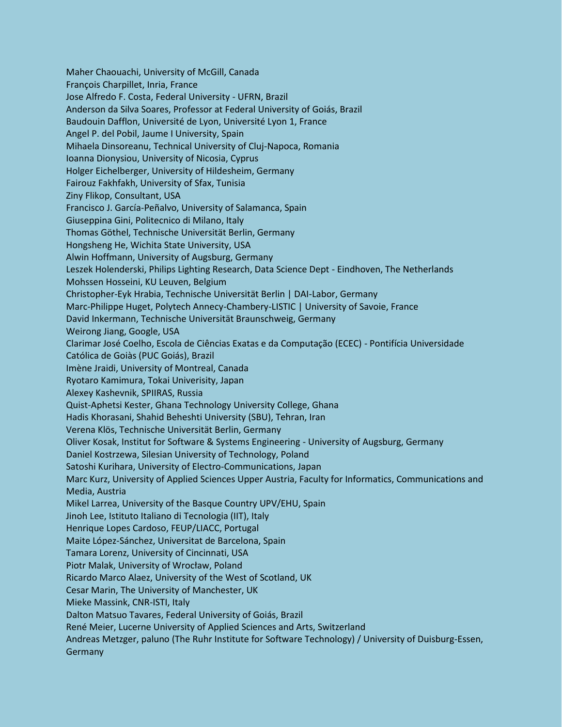Maher Chaouachi, University of McGill, Canada François Charpillet, Inria, France Jose Alfredo F. Costa, Federal University - UFRN, Brazil Anderson da Silva Soares, Professor at Federal University of Goiás, Brazil Baudouin Dafflon, Université de Lyon, Université Lyon 1, France Angel P. del Pobil, Jaume I University, Spain Mihaela Dinsoreanu, Technical University of Cluj-Napoca, Romania Ioanna Dionysiou, University of Nicosia, Cyprus Holger Eichelberger, University of Hildesheim, Germany Fairouz Fakhfakh, University of Sfax, Tunisia Ziny Flikop, Consultant, USA Francisco J. García-Peñalvo, University of Salamanca, Spain Giuseppina Gini, Politecnico di Milano, Italy Thomas Göthel, Technische Universität Berlin, Germany Hongsheng He, Wichita State University, USA Alwin Hoffmann, University of Augsburg, Germany Leszek Holenderski, Philips Lighting Research, Data Science Dept - Eindhoven, The Netherlands Mohssen Hosseini, KU Leuven, Belgium Christopher-Eyk Hrabia, Technische Universität Berlin | DAI-Labor, Germany Marc-Philippe Huget, Polytech Annecy-Chambery-LISTIC | University of Savoie, France David Inkermann, Technische Universität Braunschweig, Germany Weirong Jiang, Google, USA Clarimar José Coelho, Escola de Ciências Exatas e da Computação (ECEC) - Pontifícia Universidade Católica de Goiàs (PUC Goiás), Brazil Imène Jraidi, University of Montreal, Canada Ryotaro Kamimura, Tokai Univerisity, Japan Alexey Kashevnik, SPIIRAS, Russia Quist-Aphetsi Kester, Ghana Technology University College, Ghana Hadis Khorasani, Shahid Beheshti University (SBU), Tehran, Iran Verena Klös, Technische Universität Berlin, Germany Oliver Kosak, Institut for Software & Systems Engineering - University of Augsburg, Germany Daniel Kostrzewa, Silesian University of Technology, Poland Satoshi Kurihara, University of Electro-Communications, Japan Marc Kurz, University of Applied Sciences Upper Austria, Faculty for Informatics, Communications and Media, Austria Mikel Larrea, University of the Basque Country UPV/EHU, Spain Jinoh Lee, Istituto Italiano di Tecnologia (IIT), Italy Henrique Lopes Cardoso, FEUP/LIACC, Portugal Maite López-Sánchez, Universitat de Barcelona, Spain Tamara Lorenz, University of Cincinnati, USA Piotr Malak, University of Wrocław, Poland Ricardo Marco Alaez, University of the West of Scotland, UK Cesar Marin, The University of Manchester, UK Mieke Massink, CNR-ISTI, Italy Dalton Matsuo Tavares, Federal University of Goiás, Brazil René Meier, Lucerne University of Applied Sciences and Arts, Switzerland Andreas Metzger, paluno (The Ruhr Institute for Software Technology) / University of Duisburg-Essen, **Germany**